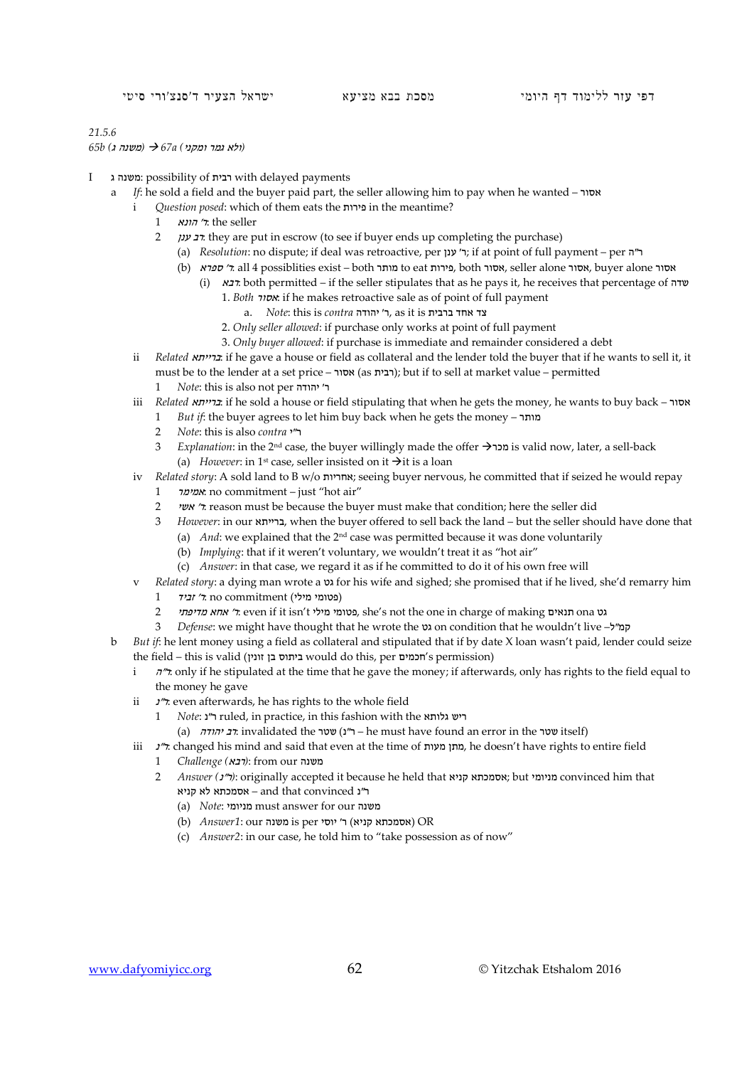## *21.5.6*

*(*ולא גמר ומקני*) a67 )* משנה ג*) b65*

- I ג משנה: possibility of רבית with delayed payments
	- a *If*: he sold a field and the buyer paid part, the seller allowing him to pay when he wanted אסור
		- i *Question posed*: which of them eats the פירות in the meantime?
			- seller the :ר' הונא 1
			- 2 ענן רב: they are put in escrow (to see if buyer ends up completing the purchase)
				- (a) *Resolution*: no dispute; if deal was retroactive, per ה"ר ; if at point of full payment per ה"ר
				- (b) ספרא ל: all 4 possiblities exist both מותר to eat מותר, seller alone אסור, buyer alone אסור
					- (i) רבא: both permitted if the seller stipulates that as he pays it, he receives that percentage of שדה 1. *Both* אסור: if he makes retroactive sale as of point of full payment
						- a. *Note*: this is *contra* יהודה' ר, as it is ברבית אחד צד
						- 2. *Only seller allowed*: if purchase only works at point of full payment
						- 3. *Only buyer allowed*: if purchase is immediate and remainder considered a debt
		- ii *Related* ברייתא: if he gave a house or field as collateral and the lender told the buyer that if he wants to sell it, it must be to the lender at a set price – אסור); but if to sell at market value – permitted
			- 1 *Note*: this is also not per יהודה' ר
		- iii *Related* ברייתא: if he sold a house or field stipulating that when he gets the money, he wants to buy back אסור
			- 1 *But if*: the buyer agrees to let him buy back when he gets the money מותר
			- 2 *Note*: this is also *contra* י"ר
			- 3 *Explanation*: in the 2nd case, the buyer willingly made the offer מכר is valid now, later, a sell-back (a) *However*: in 1<sup>st</sup> case, seller insisted on it  $\rightarrow$  it is a loan
		- iv *Related story*: A sold land to B w/o אחריות ;seeing buyer nervous, he committed that if seized he would repay
			- 1 אמימר: no commitment just "hot air"
			- 2 אשי' ר: reason must be because the buyer must make that condition; here the seller did
			- 3 *However*: in our ברייתא, when the buyer offered to sell back the land but the seller should have done that
				- (a) *And*: we explained that the 2<sup>nd</sup> case was permitted because it was done voluntarily
				- (b) *Implying*: that if it weren't voluntary, we wouldn't treat it as "hot air"
				- (c) *Answer*: in that case, we regard it as if he committed to do it of his own free will
		- v *Related story*: a dying man wrote a גט for his wife and sighed; she promised that if he lived, she'd remarry him 1 (פטומי מילי) no commitment (פטומי מילי
			- 2 מטומי מילי even if it isn't פטומי, she's not the one in charge of making תנאים, she's not the one in charge of making ת
			- 3 *Defense*: we might have thought that he wrote the גט on condition that he wouldn't live –ל"קמ

b *But if*: he lent money using a field as collateral and stipulated that if by date X loan wasn't paid, lender could seize the field – this is valid (זונין would do this, per חכמים's permission)

- i  $\pi$ <sup>\*</sup>. only if he stipulated at the time that he gave the money; if afterwards, only has rights to the field equal to the money he gave
- ii  $\frac{1}{r}$  even afterwards, he has rights to the whole field
	- 1 *Note*: נ"ר ruled, in practice, in this fashion with the גלותא ריש
	- (a) יהודה ר"נ) שטר) he must have found an error in the ישטר) tself)
- iii <sup>נ</sup>"ר: changed his mind and said that even at the time of מעות מתן, he doesn't have rights to entire field
	- 1 *Challenge (*רבא*(*: from our משנה
	- 2 *Answer (*נ"ר*(*: originally accepted it because he held that קניא אסמכתא ;but מניומי convinced him that ר"נ convinced that and – אסמכתא לא קניא
		- (a) *Note*: מניומי must answer for our משנה
		- (b) *Answer1*: our משנה is per יוסי) CR
		- (c) *Answer2*: in our case, he told him to "take possession as of now"